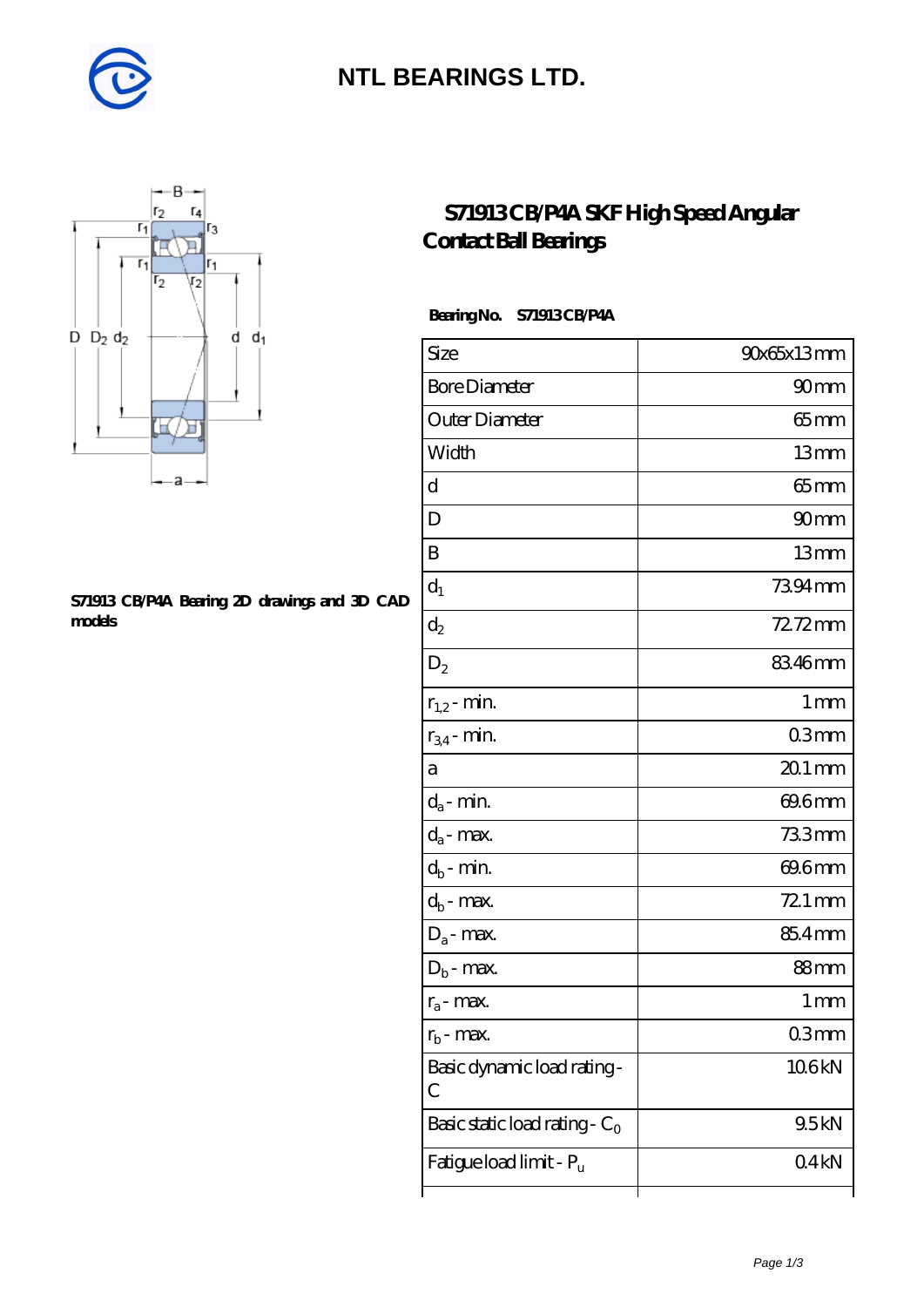

### **[NTL BEARINGS LTD.](https://diabetesfriends.net)**



#### **[S71913 CB/P4A Bearing 2D drawings and 3D CAD](https://diabetesfriends.net/pic-590723.html) [models](https://diabetesfriends.net/pic-590723.html)**

### **[S71913 CB/P4A SKF High Speed Angular](https://diabetesfriends.net/skf-bearing/s71913-cb-p4a.html) [Contact Ball Bearings](https://diabetesfriends.net/skf-bearing/s71913-cb-p4a.html)**

### **Bearing No. S71913 CB/P4A**

| Size                             | 90x65x13mm       |
|----------------------------------|------------------|
| <b>Bore Diameter</b>             | 90 <sub>mm</sub> |
| Outer Diameter                   | $65$ mm          |
| Width                            | 13mm             |
| d                                | $65 \text{mm}$   |
| D                                | 90mm             |
| B                                | 13mm             |
| $d_1$                            | 7394mm           |
| $\mathrm{d}_2$                   | 72.72mm          |
| $D_2$                            | 83.46mm          |
| $r_{1,2}$ - min.                 | 1 <sub>mm</sub>  |
| $r_{34}$ - min.                  | 03 <sub>mm</sub> |
| а                                | $201$ mm         |
| $d_a$ - min.                     | 69.6mm           |
| $d_a$ - max.                     | 733mm            |
| $d_b$ - min.                     | 69.6mm           |
| $d_b$ - max.                     | 72.1 mm          |
| $D_a$ - max.                     | 85.4mm           |
| $D_b$ - max.                     | 88 <sub>mm</sub> |
| $r_a$ - max.                     | 1 mm             |
| $r_{\rm b}$ - max.               | 03mm             |
| Basic dynamic load rating-<br>С  | 106kN            |
| Basic static load rating - $C_0$ | 9.5kN            |
| Fatigue load limit - Pu          | 04kN             |
|                                  |                  |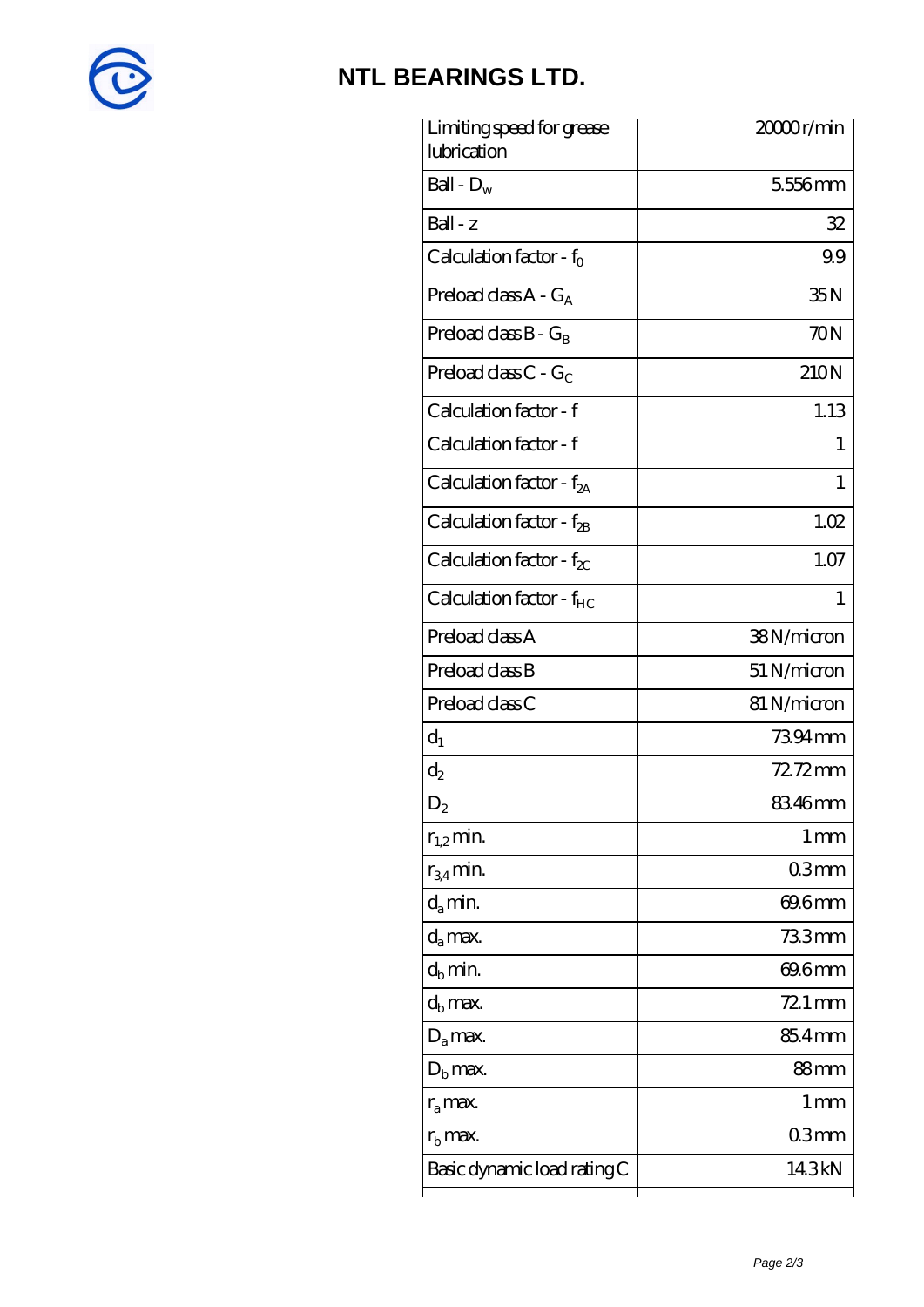

# **[NTL BEARINGS LTD.](https://diabetesfriends.net)**

| Limiting speed for grease<br>lubrication | 2000 <sub>r/min</sub> |
|------------------------------------------|-----------------------|
| Ball - $D_w$                             | 5556mm                |
| $Ball - z$                               | 32                    |
| Calculation factor - $f_0$               | 99                    |
| Preload class $A - G_A$                  | 35N                   |
| Preload class $B - G_B$                  | 70N                   |
| Preload class C - $G_C$                  | 210N                  |
| Calculation factor - f                   | 1.13                  |
| Calculation factor - f                   | 1                     |
| Calculation factor - $f_{2A}$            | 1                     |
| Calculation factor - $f_{2B}$            | 1.02                  |
| Calculation factor - $f_{\chi}$          | 1.07                  |
| Calculation factor - f <sub>HC</sub>     | 1                     |
| Preload class A                          | 38N/micron            |
| Preload class B                          | 51 N/micron           |
| Preload class C                          | 81 N/micron           |
| $d_1$                                    | 7394mm                |
| $d_2$                                    | 72.72mm               |
| $\mathrm{D}_2$                           | 83.46mm               |
| $r_{1,2}$ min.                           | 1 <sub>mm</sub>       |
| $r_{34}$ min.                            | 03mm                  |
| $d_{a}$ min.                             | 69.6mm                |
| $d_a$ max.                               | 733mm                 |
| $d_h$ min.                               | 69.6mm                |
| $d_h$ max.                               | $721 \,\mathrm{mm}$   |
| $D_a$ max.                               | 854mm                 |
| $D_{\rm b}$ max.                         | 88mm                  |
| $r_a$ max.                               | 1 mm                  |
| $r_{\rm b}$ max.                         | 03mm                  |
| Basic dynamic load rating C              | 14.3kN                |